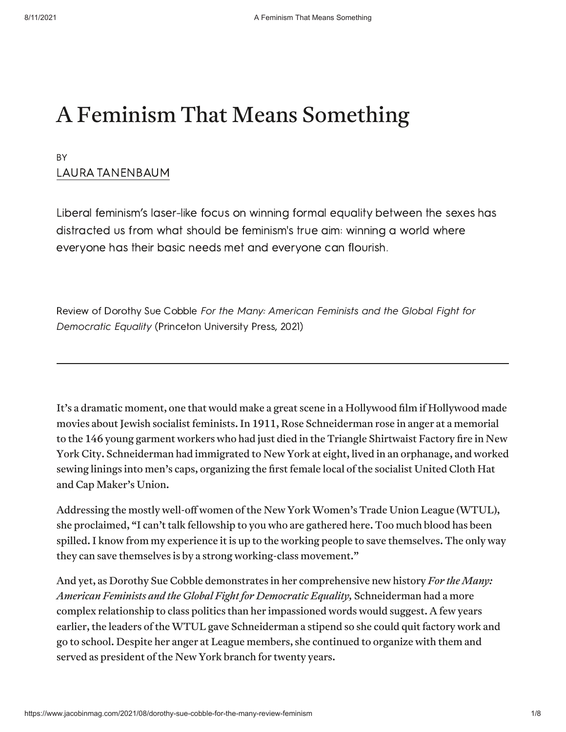## A Feminism That Means Something

#### BY <u>LAUNA IANLINDAUM</u>

LIDERAL TEMPIRIUS RUSEL FINE TOCUS ON WITHING TOMMA EQUAIN DETWEEN THE SEXES HAS distracted us from what should be feminism's true aim: winning a world where everyone has their basic needs met and everyone can flourish.

Review of Dorothy Sue Cobble For the Many: American Feminists and the Global Fight for Democratic Equality (Princeton University Press, 2021)

It's a dramatic moment, one that would make a great scene in a Hollywood film if Hollywood made movies about Jewish socialist feminists. In 1911, Rose Schneiderman rose in anger at a memorial to the 146 young garment workers who had just died in the Triangle Shirtwaist Factory fire in New York City. Schneiderman had immigrated to New York at eight, lived in an orphanage, and worked sewing linings into men's caps, organizing the first female local of the socialist United Cloth Hat and Cap Maker's Union.

Addressing the mostly well-off women of the New York Women's Trade Union League (WTUL), she proclaimed, "I can't talk fellowship to you who are gathered here. Too much blood has been spilled. I know from my experience it is up to the working people to save themselves. The only way they can save themselves is by a strong working-class movement."

And yet, as Dorothy Sue Cobble demonstrates in her comprehensive new history *For the Many: American Feminists and the Global Fight for Democratic Equality,* Schneiderman had a more complex relationship to class politics than her impassioned words would suggest. A few years earlier, the leaders of the WTUL gave Schneiderman a stipend so she could quit factory work and go to school. Despite her anger at League members, she continued to organize with them and served as president of the New York branch for twenty years.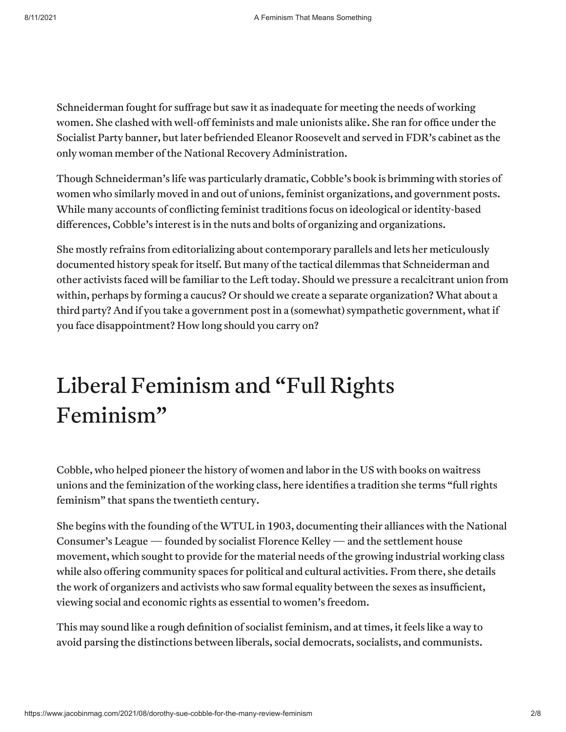Schneiderman fought for suffrage but saw it as inadequate for meeting the needs of working women. She clashed with well-off feminists and male unionists alike. She ran for office under the Socialist Party banner, but later befriended Eleanor Roosevelt and served in FDR's cabinet as the only woman member of the National Recovery Administration.

Though Schneiderman's life was particularly dramatic, Cobble's book is brimming with stories of women who similarly moved in and out of unions, feminist organizations, and government posts. While many accounts of conflicting feminist traditions focus on ideological or identity-based differences, Cobble's interest is in the nuts and bolts of organizing and organizations.

She mostly refrains from editorializing about contemporary parallels and lets her meticulously documented history speak for itself. But many of the tactical dilemmas that Schneiderman and other activists faced will be familiar to the Left today. Should we pressure a recalcitrant union from within, perhaps by forming a caucus? Or should we create a separate organization? What about a third party? And if you take a government post in a (somewhat) sympathetic government, what if you face disappointment? How long should you carry on?

# Liberal Feminism and "Full Rights Feminism"

Cobble, who helped pioneer the history of women and labor in the US with books on waitress unions and the feminization of the working class, here identifies a tradition she terms "full rights feminism" that spans the twentieth century.

She begins with the founding of the WTUL in 1903, documenting their alliances with the National Consumer's League — founded by socialist Florence Kelley — and the settlement house movement, which sought to provide for the material needs of the growing industrial working class while also offering community spaces for political and cultural activities. From there, she details the work of organizers and activists who saw formal equality between the sexes as insufficient, viewing social and economic rights as essential to women's freedom.

This may sound like a rough definition of socialist feminism, and at times, it feels like a way to avoid parsing the distinctions between liberals, social democrats, socialists, and communists.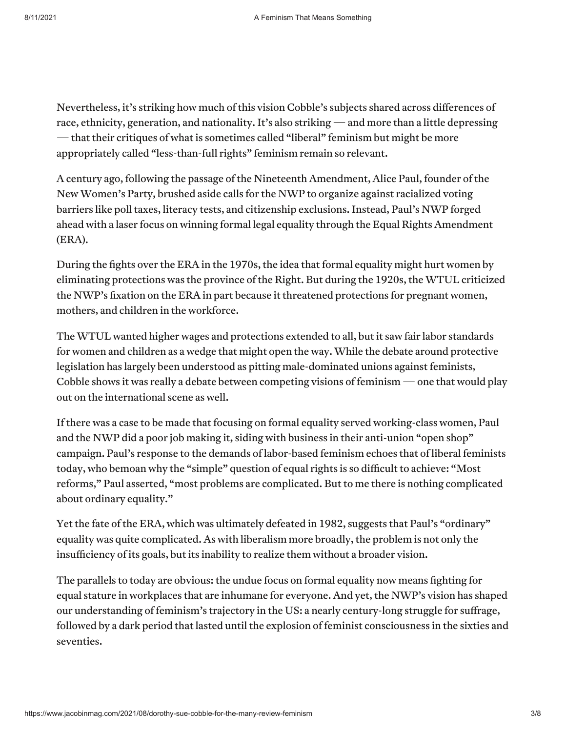Nevertheless, it's striking how much of this vision Cobble's subjects shared across differences of race, ethnicity, generation, and nationality. It's also striking — and more than a little depressing — that their critiques of what is sometimes called "liberal" feminism but might be more appropriately called "less-than-full rights" feminism remain so relevant.

A century ago, following the passage of the Nineteenth Amendment, Alice Paul, founder of the New Women's Party, brushed aside calls for the NWP to organize against racialized voting barriers like poll taxes, literacy tests, and citizenship exclusions. Instead, Paul's NWP forged ahead with a laser focus on winning formal legal equality through the Equal Rights Amendment (ERA).

During the fights over the ERA in the 1970s, the idea that formal equality might hurt women by eliminating protections was the province of the Right. But during the 1920s, the WTUL criticized the NWP's fixation on the ERA in part because it threatened protections for pregnant women, mothers, and children in the workforce.

The WTUL wanted higher wages and protections extended to all, but it saw fair labor standards for women and children as a wedge that might open the way. While the debate around protective legislation has largely been understood as pitting male-dominated unions against feminists, Cobble shows it was really a debate between competing visions of feminism  $\sim$  one that would play out on the international scene as well.

If there was a case to be made that focusing on formal equality served working-class women, Paul and the NWP did a poor job making it, siding with business in their anti-union "open shop" campaign. Paul's response to the demands of labor-based feminism echoes that of liberal feminists today, who bemoan why the "simple" question of equal rights is so difficult to achieve: "Most reforms," Paul asserted, "most problems are complicated. But to me there is nothing complicated about ordinary equality."

Yet the fate of the ERA, which was ultimately defeated in 1982, suggests that Paul's "ordinary" equality was quite complicated. As with liberalism more broadly, the problem is not only the insufficiency of its goals, but its inability to realize them without a broader vision.

The parallels to today are obvious: the undue focus on formal equality now means fighting for equal stature in workplaces that are inhumane for everyone. And yet, the NWP's vision has shaped our understanding of feminism's trajectory in the US: a nearly century-long struggle for suffrage, followed by a dark period that lasted until the explosion of feminist consciousness in the sixties and seventies.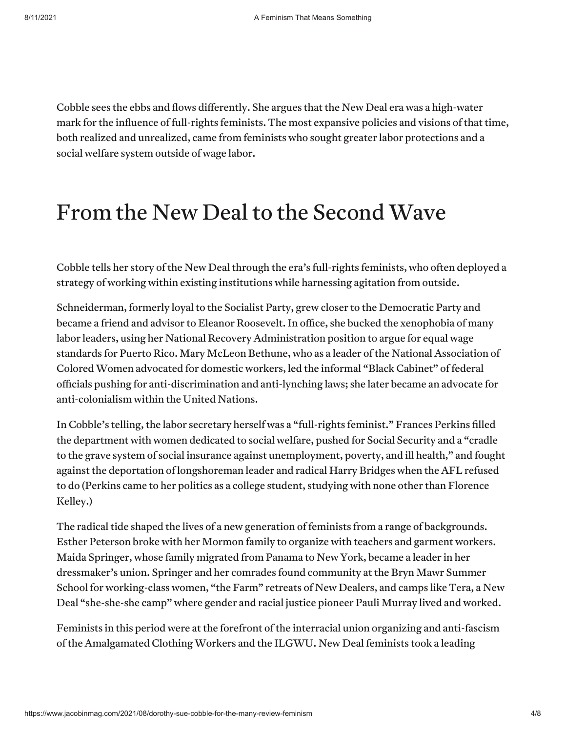Cobble sees the ebbs and flows differently. She argues that the New Deal era was a high-water mark for the influence of full-rights feminists. The most expansive policies and visions of that time, both realized and unrealized, came from feminists who sought greater labor protections and a social welfare system outside of wage labor.

### From the New Deal to the Second Wave

Cobble tells her story of the New Deal through the era's full-rights feminists, who often deployed a strategy of working within existing institutions while harnessing agitation from outside.

Schneiderman, formerly loyal to the Socialist Party, grew closer to the Democratic Party and became a friend and advisor to Eleanor Roosevelt. In office, she bucked the xenophobia of many labor leaders, using her National Recovery Administration position to argue for equal wage standards for Puerto Rico. Mary McLeon Bethune, who as a leader of the National Association of Colored Women advocated for domestic workers, led the informal "Black Cabinet" of federal officials pushing for anti-discrimination and anti-lynching laws; she later became an advocate for anti-colonialism within the United Nations.

In Cobble's telling, the labor secretary herself was a "full-rights feminist." Frances Perkins filled the department with women dedicated to social welfare, pushed for Social Security and a "cradle to the grave system of social insurance against unemployment, poverty, and ill health," and fought against the deportation of longshoreman leader and radical Harry Bridges when the AFL refused to do (Perkins came to her politics as a college student, studying with none other than Florence Kelley.)

The radical tide shaped the lives of a new generation of feminists from a range of backgrounds. Esther Peterson broke with her Mormon family to organize with teachers and garment workers. Maida Springer, whose family migrated from Panama to New York, became a leader in her dressmaker's union. Springer and her comrades found community at the Bryn Mawr Summer School for working-class women, "the Farm" retreats of New Dealers, and camps like Tera, a New Deal "she-she-she camp" where gender and racial justice pioneer Pauli Murray lived and worked.

Feminists in this period were at the forefront of the interracial union organizing and anti-fascism of the Amalgamated Clothing Workers and the ILGWU. New Deal feminists took a leading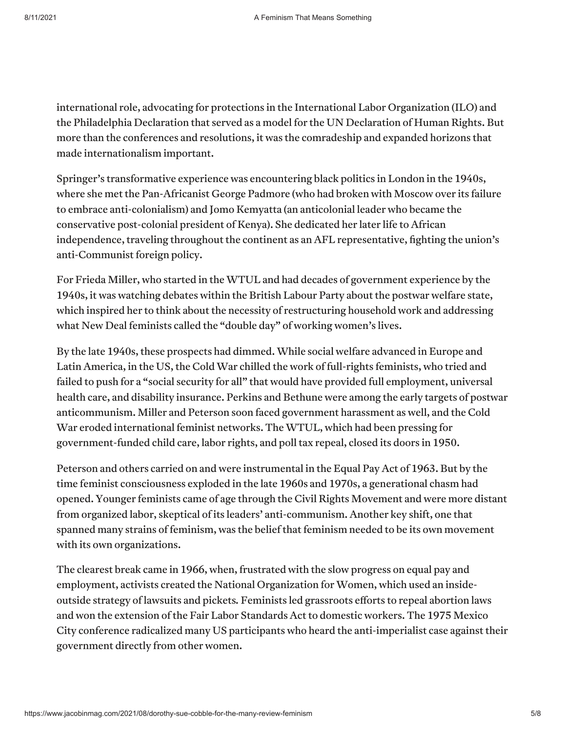international role, advocating for protections in the International Labor Organization (ILO) and the Philadelphia Declaration that served as a model for the UN Declaration of Human Rights. But more than the conferences and resolutions, it was the comradeship and expanded horizons that made internationalism important.

Springer's transformative experience was encountering black politics in London in the 1940s, where she met the Pan-Africanist George Padmore (who had broken with Moscow over its failure to embrace anti-colonialism) and Jomo Kemyatta (an anticolonial leader who became the conservative post-colonial president of Kenya). She dedicated her later life to African independence, traveling throughout the continent as an AFL representative, fighting the union's anti-Communist foreign policy.

For Frieda Miller, who started in the WTUL and had decades of government experience by the 1940s, it was watching debates within the British Labour Party about the postwar welfare state, which inspired her to think about the necessity of restructuring household work and addressing what New Deal feminists called the "double day" of working women's lives.

By the late 1940s, these prospects had dimmed. While social welfare advanced in Europe and Latin America, in the US, the Cold War chilled the work of full-rights feminists, who tried and failed to push for a "social security for all" that would have provided full employment, universal health care, and disability insurance. Perkins and Bethune were among the early targets of postwar anticommunism. Miller and Peterson soon faced government harassment as well, and the Cold War eroded international feminist networks. The WTUL, which had been pressing for government-funded child care, labor rights, and poll tax repeal, closed its doors in 1950.

Peterson and others carried on and were instrumental in the Equal Pay Act of 1963. But by the time feminist consciousness exploded in the late 1960s and 1970s, a generational chasm had opened. Younger feminists came of age through the Civil Rights Movement and were more distant from organized labor, skeptical of its leaders' anti-communism. Another key shift, one that spanned many strains of feminism, was the belief that feminism needed to be its own movement with its own organizations.

The clearest break came in 1966, when, frustrated with the slow progress on equal pay and employment, activists created the National Organization for Women, which used an insideoutside strategy of lawsuits and pickets. Feminists led grassroots efforts to repeal abortion laws and won the extension of the Fair Labor Standards Act to domestic workers. The 1975 Mexico City conference radicalized many US participants who heard the anti-imperialist case against their government directly from other women.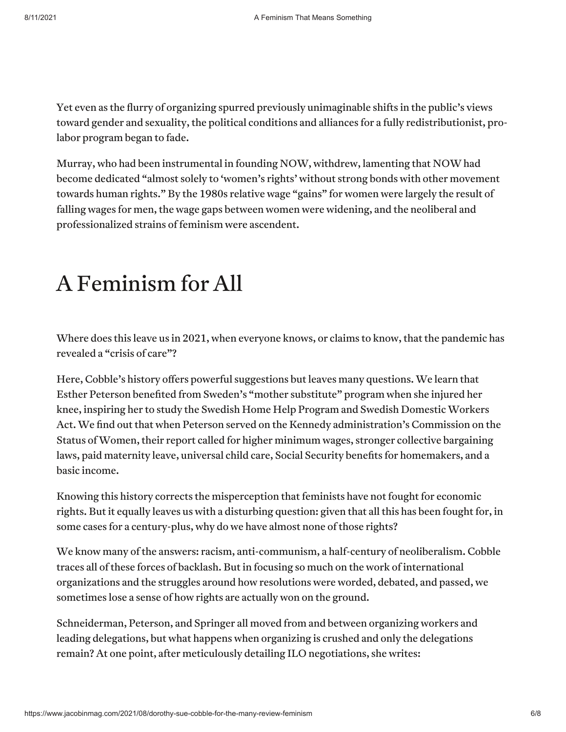Yet even as the flurry of organizing spurred previously unimaginable shifts in the public's views toward gender and sexuality, the political conditions and alliances for a fully redistributionist, prolabor program began to fade.

Murray, who had been instrumental in founding NOW, withdrew, lamenting that NOW had become dedicated "almost solely to 'women's rights' without strong bonds with other movement towards human rights." By the 1980s relative wage "gains" for women were largely the result of falling wages for men, the wage gaps between women were widening, and the neoliberal and professionalized strains of feminism were ascendent.

### A Feminism for All

Where does this leave us in 2021, when everyone knows, or claims to know, that the pandemic has revealed a "crisis of care"?

Here, Cobble's history offers powerful suggestions but leaves many questions. We learn that Esther Peterson benefited from Sweden's "mother substitute" program when she injured her knee, inspiring her to study the Swedish Home Help Program and Swedish Domestic Workers Act. We find out that when Peterson served on the Kennedy administration's Commission on the Status of Women, their report called for higher minimum wages, stronger collective bargaining laws, paid maternity leave, universal child care, Social Security benefits for homemakers, and a basic income.

Knowing this history corrects the misperception that feminists have not fought for economic rights. But it equally leaves us with a disturbing question: given that all this has been fought for, in some cases for a century-plus, why do we have almost none of those rights?

We know many of the answers: racism, anti-communism, a half-century of neoliberalism. Cobble traces all of these forces of backlash. But in focusing so much on the work of international organizations and the struggles around how resolutions were worded, debated, and passed, we sometimes lose a sense of how rights are actually won on the ground.

Schneiderman, Peterson, and Springer all moved from and between organizing workers and leading delegations, but what happens when organizing is crushed and only the delegations remain? At one point, after meticulously detailing ILO negotiations, she writes: